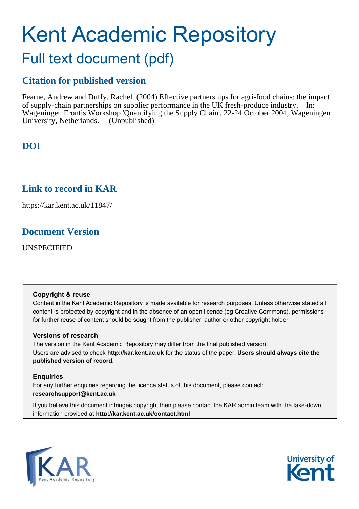# Kent Academic Repository

## Full text document (pdf)

## **Citation for published version**

Fearne, Andrew and Duffy, Rachel (2004) Effective partnerships for agri-food chains: the impact of supply-chain partnerships on supplier performance in the UK fresh-produce industry. In: Wageningen Frontis Workshop 'Quantifying the Supply Chain', 22-24 October 2004, Wageningen University, Netherlands. (Unpublished)

## **DOI**

## **Link to record in KAR**

https://kar.kent.ac.uk/11847/

## **Document Version**

UNSPECIFIED

#### **Copyright & reuse**

Content in the Kent Academic Repository is made available for research purposes. Unless otherwise stated all content is protected by copyright and in the absence of an open licence (eg Creative Commons), permissions for further reuse of content should be sought from the publisher, author or other copyright holder.

#### **Versions of research**

The version in the Kent Academic Repository may differ from the final published version. Users are advised to check **http://kar.kent.ac.uk** for the status of the paper. **Users should always cite the published version of record.**

#### **Enquiries**

For any further enquiries regarding the licence status of this document, please contact: **researchsupport@kent.ac.uk**

If you believe this document infringes copyright then please contact the KAR admin team with the take-down information provided at **http://kar.kent.ac.uk/contact.html**



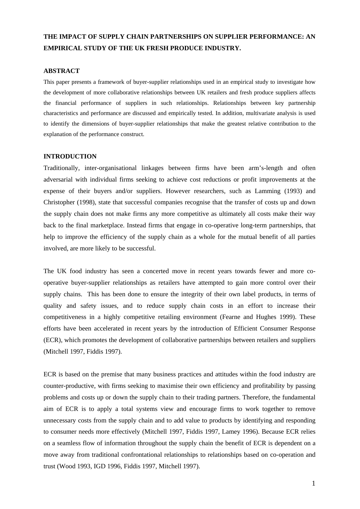### **THE IMPACT OF SUPPLY CHAIN PARTNERSHIPS ON SUPPLIER PERFORMANCE: AN EMPIRICAL STUDY OF THE UK FRESH PRODUCE INDUSTRY.**

#### **ABSTRACT**

This paper presents a framework of buyer-supplier relationships used in an empirical study to investigate how the development of more collaborative relationships between UK retailers and fresh produce suppliers affects the financial performance of suppliers in such relationships. Relationships between key partnership characteristics and performance are discussed and empirically tested. In addition, multivariate analysis is used to identify the dimensions of buyer-supplier relationships that make the greatest relative contribution to the explanation of the performance construct.

#### **INTRODUCTION**

Traditionally, inter-organisational linkages between firms have been arm's-length and often adversarial with individual firms seeking to achieve cost reductions or profit improvements at the expense of their buyers and/or suppliers. However researchers, such as Lamming (1993) and Christopher (1998), state that successful companies recognise that the transfer of costs up and down the supply chain does not make firms any more competitive as ultimately all costs make their way back to the final marketplace. Instead firms that engage in co-operative long-term partnerships, that help to improve the efficiency of the supply chain as a whole for the mutual benefit of all parties involved, are more likely to be successful.

The UK food industry has seen a concerted move in recent years towards fewer and more cooperative buyer-supplier relationships as retailers have attempted to gain more control over their supply chains. This has been done to ensure the integrity of their own label products, in terms of quality and safety issues, and to reduce supply chain costs in an effort to increase their competitiveness in a highly competitive retailing environment (Fearne and Hughes 1999). These efforts have been accelerated in recent years by the introduction of Efficient Consumer Response (ECR), which promotes the development of collaborative partnerships between retailers and suppliers (Mitchell 1997, Fiddis 1997).

ECR is based on the premise that many business practices and attitudes within the food industry are counter-productive, with firms seeking to maximise their own efficiency and profitability by passing problems and costs up or down the supply chain to their trading partners. Therefore, the fundamental aim of ECR is to apply a total systems view and encourage firms to work together to remove unnecessary costs from the supply chain and to add value to products by identifying and responding to consumer needs more effectively (Mitchell 1997, Fiddis 1997, Lamey 1996). Because ECR relies on a seamless flow of information throughout the supply chain the benefit of ECR is dependent on a move away from traditional confrontational relationships to relationships based on co-operation and trust (Wood 1993, IGD 1996, Fiddis 1997, Mitchell 1997).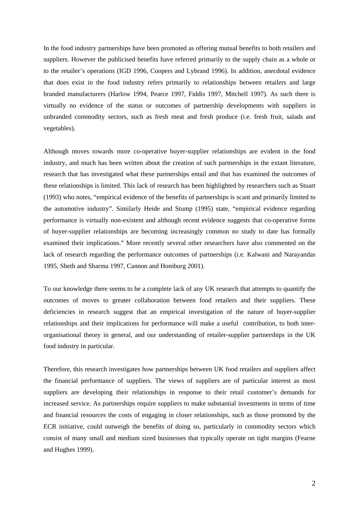In the food industry partnerships have been promoted as offering mutual benefits to both retailers and suppliers. However the publicised benefits have referred primarily to the supply chain as a whole or to the retailer's operations (IGD 1996, Coopers and Lybrand 1996). In addition, anecdotal evidence that does exist in the food industry refers primarily to relationships between retailers and large branded manufacturers (Harlow 1994, Pearce 1997, Fiddis 1997, Mitchell 1997). As such there is virtually no evidence of the status or outcomes of partnership developments with suppliers in unbranded commodity sectors, such as fresh meat and fresh produce (i.e. fresh fruit, salads and vegetables).

Although moves towards more co-operative buyer-supplier relationships are evident in the food industry, and much has been written about the creation of such partnerships in the extant literature, research that has investigated what these partnerships entail and that has examined the outcomes of these relationships is limited. This lack of research has been highlighted by researchers such as Stuart (1993) who notes, "empirical evidence of the benefits of partnerships is scant and primarily limited to the automotive industry". Similarly Heide and Stump (1995) state, "empirical evidence regarding performance is virtually non-existent and although recent evidence suggests that co-operative forms of buyer-supplier relationships are becoming increasingly common no study to date has formally examined their implications." More recently several other researchers have also commented on the lack of research regarding the performance outcomes of partnerships (i.e. Kalwani and Narayandas 1995, Sheth and Sharma 1997, Cannon and Homburg 2001).

To our knowledge there seems to be a complete lack of any UK research that attempts to quantify the outcomes of moves to greater collaboration between food retailers and their suppliers. These deficiencies in research suggest that an empirical investigation of the nature of buyer-supplier relationships and their implications for performance will make a useful contribution, to both interorganisational theory in general, and our understanding of retailer-supplier partnerships in the UK food industry in particular.

Therefore, this research investigates how partnerships between UK food retailers and suppliers affect the financial performance of suppliers. The views of suppliers are of particular interest as most suppliers are developing their relationships in response to their retail customer's demands for increased service. As partnerships require suppliers to make substantial investments in terms of time and financial resources the costs of engaging in closer relationships, such as those promoted by the ECR initiative, could outweigh the benefits of doing so, particularly in commodity sectors which consist of many small and medium sized businesses that typically operate on tight margins (Fearne and Hughes 1999).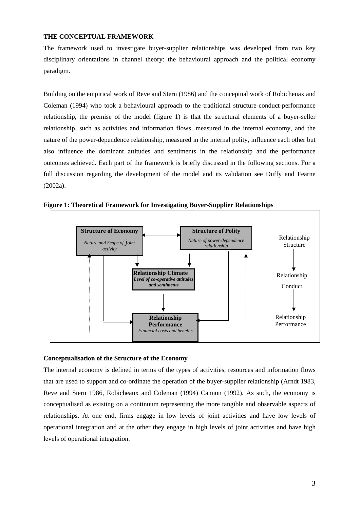#### **THE CONCEPTUAL FRAMEWORK**

The framework used to investigate buyer-supplier relationships was developed from two key disciplinary orientations in channel theory: the behavioural approach and the political economy paradigm.

Building on the empirical work of Reve and Stern (1986) and the conceptual work of Robicheuax and Coleman (1994) who took a behavioural approach to the traditional structure-conduct-performance relationship, the premise of the model (figure 1) is that the structural elements of a buyer-seller relationship, such as activities and information flows, measured in the internal economy, and the nature of the power-dependence relationship, measured in the internal polity, influence each other but also influence the dominant attitudes and sentiments in the relationship and the performance outcomes achieved. Each part of the framework is briefly discussed in the following sections. For a full discussion regarding the development of the model and its validation see Duffy and Fearne (2002a).



**Figure 1: Theoretical Framework for Investigating Buyer-Supplier Relationships**

#### **Conceptualisation of the Structure of the Economy**

The internal economy is defined in terms of the types of activities, resources and information flows that are used to support and co-ordinate the operation of the buyer-supplier relationship (Arndt 1983, Reve and Stern 1986, Robicheaux and Coleman (1994) Cannon (1992). As such, the economy is conceptualised as existing on a continuum representing the more tangible and observable aspects of relationships. At one end, firms engage in low levels of joint activities and have low levels of operational integration and at the other they engage in high levels of joint activities and have high levels of operational integration.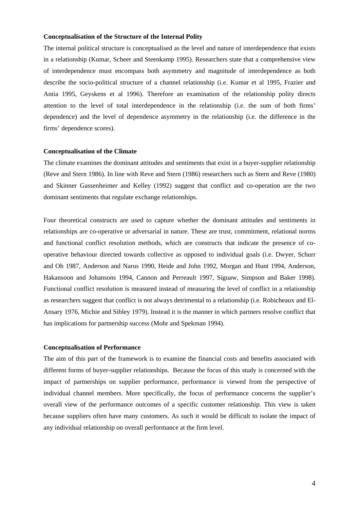#### **Conceptualisation of the Structure of the Internal Polity**

The internal political structure is conceptualised as the level and nature of interdependence that exists in a relationship (Kumar, Scheer and Steenkamp 1995). Researchers state that a comprehensive view of interdependence must encompass both asymmetry and magnitude of interdependence as both describe the socio-political structure of a channel relationship (i.e. Kumar et al 1995, Frazier and Antia 1995, Geyskens et al 1996). Therefore an examination of the relationship polity directs attention to the level of total interdependence in the relationship (i.e. the sum of both firms' dependence) and the level of dependence asymmetry in the relationship (i.e. the difference in the firms' dependence scores).

#### **Conceptualisation of the Climate**

The climate examines the dominant attitudes and sentiments that exist in a buyer-supplier relationship (Reve and Stern 1986). In line with Reve and Stern (1986) researchers such as Stern and Reve (1980) and Skinner Gassenheimer and Kelley (1992) suggest that conflict and co-operation are the two dominant sentiments that regulate exchange relationships.

Four theoretical constructs are used to capture whether the dominant attitudes and sentiments in relationships are co-operative or adversarial in nature. These are trust, commitment, relational norms and functional conflict resolution methods, which are constructs that indicate the presence of cooperative behaviour directed towards collective as opposed to individual goals (i.e. Dwyer, Schurr and Oh 1987, Anderson and Narus 1990, Heide and John 1992, Morgan and Hunt 1994, Anderson, Hakansoon and Johansons 1994, Cannon and Perreault 1997, Siguaw, Simpson and Baker 1998). Functional conflict resolution is measured instead of measuring the level of conflict in a relationship as researchers suggest that conflict is not always detrimental to a relationship (i.e. Robicheaux and El-Ansary 1976, Michie and Sibley 1979). Instead it is the manner in which partners resolve conflict that has implications for partnership success (Mohr and Spekman 1994).

#### **Conceptualisation of Performance**

The aim of this part of the framework is to examine the financial costs and benefits associated with different forms of buyer-supplier relationships. Because the focus of this study is concerned with the impact of partnerships on supplier performance, performance is viewed from the perspective of individual channel members. More specifically, the focus of performance concerns the supplier's overall view of the performance outcomes of a specific customer relationship. This view is taken because suppliers often have many customers. As such it would be difficult to isolate the impact of any individual relationship on overall performance at the firm level.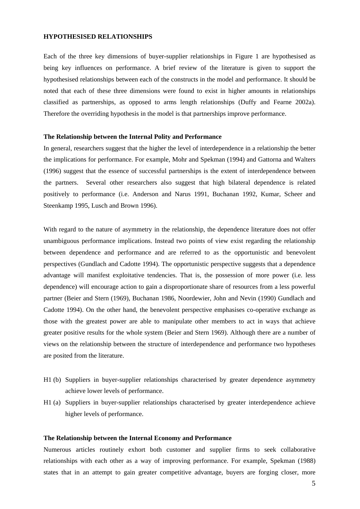#### **HYPOTHESISED RELATIONSHIPS**

Each of the three key dimensions of buyer-supplier relationships in Figure 1 are hypothesised as being key influences on performance. A brief review of the literature is given to support the hypothesised relationships between each of the constructs in the model and performance. It should be noted that each of these three dimensions were found to exist in higher amounts in relationships classified as partnerships, as opposed to arms length relationships (Duffy and Fearne 2002a). Therefore the overriding hypothesis in the model is that partnerships improve performance.

#### **The Relationship between the Internal Polity and Performance**

In general, researchers suggest that the higher the level of interdependence in a relationship the better the implications for performance. For example, Mohr and Spekman (1994) and Gattorna and Walters (1996) suggest that the essence of successful partnerships is the extent of interdependence between the partners. Several other researchers also suggest that high bilateral dependence is related positively to performance (i.e. Anderson and Narus 1991, Buchanan 1992, Kumar, Scheer and Steenkamp 1995, Lusch and Brown 1996).

With regard to the nature of asymmetry in the relationship, the dependence literature does not offer unambiguous performance implications. Instead two points of view exist regarding the relationship between dependence and performance and are referred to as the opportunistic and benevolent perspectives (Gundlach and Cadotte 1994). The opportunistic perspective suggests that a dependence advantage will manifest exploitative tendencies. That is, the possession of more power (i.e. less dependence) will encourage action to gain a disproportionate share of resources from a less powerful partner (Beier and Stern (1969), Buchanan 1986, Noordewier, John and Nevin (1990) Gundlach and Cadotte 1994). On the other hand, the benevolent perspective emphasises co-operative exchange as those with the greatest power are able to manipulate other members to act in ways that achieve greater positive results for the whole system (Beier and Stern 1969). Although there are a number of views on the relationship between the structure of interdependence and performance two hypotheses are posited from the literature.

- H1 (b) Suppliers in buyer-supplier relationships characterised by greater dependence asymmetry achieve lower levels of performance.
- H1 (a) Suppliers in buyer-supplier relationships characterised by greater interdependence achieve higher levels of performance.

#### **The Relationship between the Internal Economy and Performance**

Numerous articles routinely exhort both customer and supplier firms to seek collaborative relationships with each other as a way of improving performance. For example, Spekman (1988) states that in an attempt to gain greater competitive advantage, buyers are forging closer, more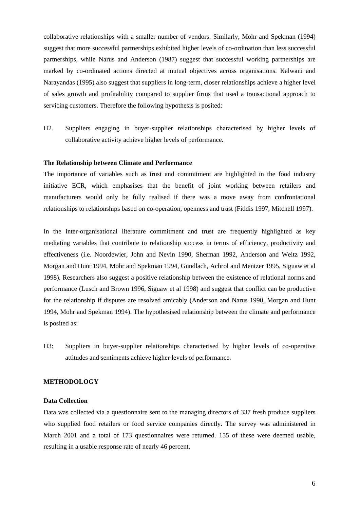collaborative relationships with a smaller number of vendors. Similarly, Mohr and Spekman (1994) suggest that more successful partnerships exhibited higher levels of co-ordination than less successful partnerships, while Narus and Anderson (1987) suggest that successful working partnerships are marked by co-ordinated actions directed at mutual objectives across organisations. Kalwani and Narayandas (1995) also suggest that suppliers in long-term, closer relationships achieve a higher level of sales growth and profitability compared to supplier firms that used a transactional approach to servicing customers. Therefore the following hypothesis is posited:

H2. Suppliers engaging in buyer-supplier relationships characterised by higher levels of collaborative activity achieve higher levels of performance.

#### **The Relationship between Climate and Performance**

The importance of variables such as trust and commitment are highlighted in the food industry initiative ECR, which emphasises that the benefit of joint working between retailers and manufacturers would only be fully realised if there was a move away from confrontational relationships to relationships based on co-operation, openness and trust (Fiddis 1997, Mitchell 1997).

In the inter-organisational literature commitment and trust are frequently highlighted as key mediating variables that contribute to relationship success in terms of efficiency, productivity and effectiveness (i.e. Noordewier, John and Nevin 1990, Sherman 1992, Anderson and Weitz 1992, Morgan and Hunt 1994, Mohr and Spekman 1994, Gundlach, Achrol and Mentzer 1995, Siguaw et al 1998). Researchers also suggest a positive relationship between the existence of relational norms and performance (Lusch and Brown 1996, Siguaw et al 1998) and suggest that conflict can be productive for the relationship if disputes are resolved amicably (Anderson and Narus 1990, Morgan and Hunt 1994, Mohr and Spekman 1994). The hypothesised relationship between the climate and performance is posited as:

H3: Suppliers in buyer-supplier relationships characterised by higher levels of co-operative attitudes and sentiments achieve higher levels of performance.

#### **METHODOLOGY**

#### **Data Collection**

Data was collected via a questionnaire sent to the managing directors of 337 fresh produce suppliers who supplied food retailers or food service companies directly. The survey was administered in March 2001 and a total of 173 questionnaires were returned. 155 of these were deemed usable, resulting in a usable response rate of nearly 46 percent.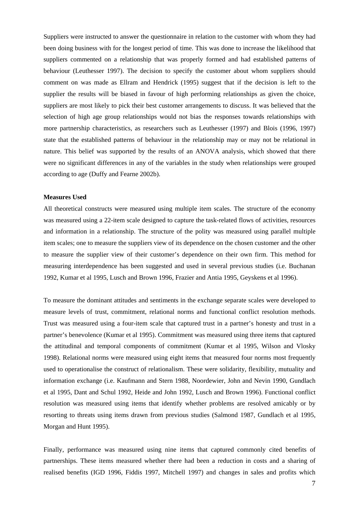Suppliers were instructed to answer the questionnaire in relation to the customer with whom they had been doing business with for the longest period of time. This was done to increase the likelihood that suppliers commented on a relationship that was properly formed and had established patterns of behaviour (Leuthesser 1997). The decision to specify the customer about whom suppliers should comment on was made as Ellram and Hendrick (1995) suggest that if the decision is left to the supplier the results will be biased in favour of high performing relationships as given the choice, suppliers are most likely to pick their best customer arrangements to discuss. It was believed that the selection of high age group relationships would not bias the responses towards relationships with more partnership characteristics, as researchers such as Leuthesser (1997) and Blois (1996, 1997) state that the established patterns of behaviour in the relationship may or may not be relational in nature. This belief was supported by the results of an ANOVA analysis, which showed that there were no significant differences in any of the variables in the study when relationships were grouped according to age (Duffy and Fearne 2002b).

#### **Measures Used**

All theoretical constructs were measured using multiple item scales. The structure of the economy was measured using a 22-item scale designed to capture the task-related flows of activities, resources and information in a relationship. The structure of the polity was measured using parallel multiple item scales; one to measure the suppliers view of its dependence on the chosen customer and the other to measure the supplier view of their customer's dependence on their own firm. This method for measuring interdependence has been suggested and used in several previous studies (i.e. Buchanan 1992, Kumar et al 1995, Lusch and Brown 1996, Frazier and Antia 1995, Geyskens et al 1996).

To measure the dominant attitudes and sentiments in the exchange separate scales were developed to measure levels of trust, commitment, relational norms and functional conflict resolution methods. Trust was measured using a four-item scale that captured trust in a partner's honesty and trust in a partner's benevolence (Kumar et al 1995). Commitment was measured using three items that captured the attitudinal and temporal components of commitment (Kumar et al 1995, Wilson and Vlosky 1998). Relational norms were measured using eight items that measured four norms most frequently used to operationalise the construct of relationalism. These were solidarity, flexibility, mutuality and information exchange (i.e. Kaufmann and Stern 1988, Noordewier, John and Nevin 1990, Gundlach et al 1995, Dant and Schul 1992, Heide and John 1992, Lusch and Brown 1996). Functional conflict resolution was measured using items that identify whether problems are resolved amicably or by resorting to threats using items drawn from previous studies (Salmond 1987, Gundlach et al 1995, Morgan and Hunt 1995).

Finally, performance was measured using nine items that captured commonly cited benefits of partnerships. These items measured whether there had been a reduction in costs and a sharing of realised benefits (IGD 1996, Fiddis 1997, Mitchell 1997) and changes in sales and profits which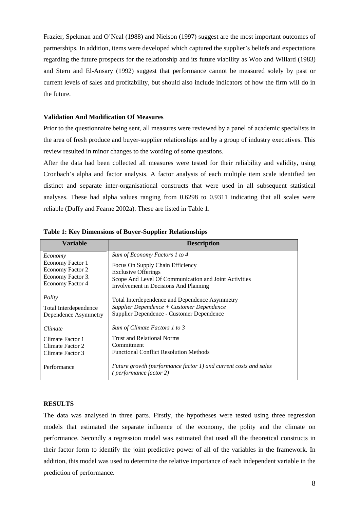Frazier, Spekman and O'Neal (1988) and Nielson (1997) suggest are the most important outcomes of partnerships. In addition, items were developed which captured the supplier's beliefs and expectations regarding the future prospects for the relationship and its future viability as Woo and Willard (1983) and Stern and El-Ansary (1992) suggest that performance cannot be measured solely by past or current levels of sales and profitability, but should also include indicators of how the firm will do in the future.

#### **Validation And Modification Of Measures**

Prior to the questionnaire being sent, all measures were reviewed by a panel of academic specialists in the area of fresh produce and buyer-supplier relationships and by a group of industry executives. This review resulted in minor changes to the wording of some questions.

After the data had been collected all measures were tested for their reliability and validity, using Cronbach's alpha and factor analysis. A factor analysis of each multiple item scale identified ten distinct and separate inter-organisational constructs that were used in all subsequent statistical analyses. These had alpha values ranging from 0.6298 to 0.9311 indicating that all scales were reliable (Duffy and Fearne 2002a). These are listed in Table 1.

| <b>Variable</b>                                                               | <b>Description</b>                                                                                                                                               |  |  |  |
|-------------------------------------------------------------------------------|------------------------------------------------------------------------------------------------------------------------------------------------------------------|--|--|--|
| Economy                                                                       | Sum of Economy Factors 1 to 4                                                                                                                                    |  |  |  |
| Economy Factor 1<br>Economy Factor 2<br>Economy Factor 3.<br>Economy Factor 4 | Focus On Supply Chain Efficiency<br><b>Exclusive Offerings</b><br>Scope And Level Of Communication and Joint Activities<br>Involvement in Decisions And Planning |  |  |  |
| Polity                                                                        | Total Interdependence and Dependence Asymmetry                                                                                                                   |  |  |  |
| Total Interdependence<br>Dependence Asymmetry                                 | Supplier Dependence + Customer Dependence<br>Supplier Dependence - Customer Dependence                                                                           |  |  |  |
| Climate                                                                       | Sum of Climate Factors 1 to 3                                                                                                                                    |  |  |  |
| Climate Factor 1<br>Climate Factor 2                                          | Trust and Relational Norms<br>Commitment                                                                                                                         |  |  |  |
| Climate Factor 3                                                              | <b>Functional Conflict Resolution Methods</b>                                                                                                                    |  |  |  |
| Performance                                                                   | Future growth (performance factor 1) and current costs and sales<br>(performance factor 2)                                                                       |  |  |  |

**Table 1: Key Dimensions of Buyer-Supplier Relationships** 

#### **RESULTS**

The data was analysed in three parts. Firstly, the hypotheses were tested using three regression models that estimated the separate influence of the economy, the polity and the climate on performance. Secondly a regression model was estimated that used all the theoretical constructs in their factor form to identify the joint predictive power of all of the variables in the framework. In addition, this model was used to determine the relative importance of each independent variable in the prediction of performance.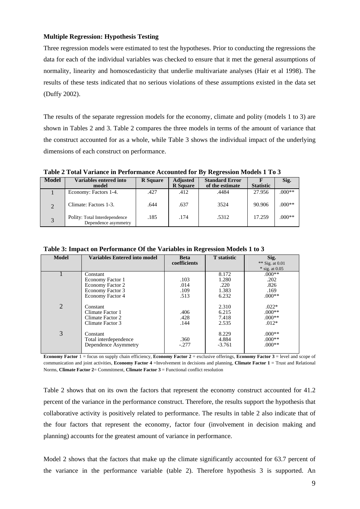#### **Multiple Regression: Hypothesis Testing**

Three regression models were estimated to test the hypotheses. Prior to conducting the regressions the data for each of the individual variables was checked to ensure that it met the general assumptions of normality, linearity and homoscedasticity that underlie multivariate analyses (Hair et al 1998). The results of these tests indicated that no serious violations of these assumptions existed in the data set (Duffy 2002).

The results of the separate regression models for the economy, climate and polity (models 1 to 3) are shown in Tables 2 and 3. Table 2 compares the three models in terms of the amount of variance that the construct accounted for as a whole, while Table 3 shows the individual impact of the underlying dimensions of each construct on performance.

**Table 2 Total Variance in Performance Accounted for By Regression Models 1 To 3** 

| Model                     | Variables entered into<br>model                       | <b>R</b> Square | <b>Adjusted</b><br><b>R</b> Square | <b>Standard Error</b><br>of the estimate | <b>Statistic</b> | Sig.     |
|---------------------------|-------------------------------------------------------|-----------------|------------------------------------|------------------------------------------|------------------|----------|
|                           | Economy: Factors 1-4.                                 | .427            | .412                               | .4484                                    | 27.956           | $.000**$ |
| $\mathcal{D}$             | Climate: Factors 1-3.                                 | .644            | .637                               | 3524                                     | 90.906           | $.000**$ |
| $\mathbf{z}$<br>$\cdot$ ) | Polity: Total Interdependence<br>Dependence asymmetry | .185            | .174                               | .5312                                    | 17.259           | $.000**$ |

| <b>Model</b>   | <b>Variables Entered into model</b> | <b>Beta</b>  | <b>T</b> statistic | Sig.              |
|----------------|-------------------------------------|--------------|--------------------|-------------------|
|                |                                     | coefficients |                    | ** Sig. at $0.01$ |
|                |                                     |              |                    | $*$ sig. at 0.05  |
|                | Constant                            |              | 8.172              | $.000**$          |
|                | Economy Factor 1                    | .103         | 1.280              | .202              |
|                | Economy Factor 2                    | .014         | .220               | .826              |
|                | Economy Factor 3                    | .109         | 1.383              | .169              |
|                | Economy Factor 4                    | .513         | 6.232              | $.000**$          |
|                |                                     |              |                    |                   |
| $\overline{2}$ | Constant                            |              | 2.310              | $.022*$           |
|                | Climate Factor 1                    | .406         | 6.215              | $0.00**$          |
|                | Climate Factor 2                    | .428         | 7.418              | $.000**$          |
|                | Climate Factor 3                    | .144         | 2.535              | $.012*$           |
|                |                                     |              |                    |                   |
| 3              | Constant                            |              | 8.229              | $.000**$          |
|                | Total interdependence               | .360         | 4.884              | $.000**$          |
|                | Dependence Asymmetry                | $-.277$      | $-3.761$           | $0.00**$          |
|                |                                     |              |                    |                   |

**Table 3: Impact on Performance Of the Variables in Regression Models 1 to 3** 

**Economy Factor** 1 = focus on supply chain efficiency, **Economy Factor 2** = exclusive offerings, **Economy Factor 3** = level and scope of communication and joint activities, **Economy Factor 4** =Involvement in decisions and planning, **Climate Factor 1** = Trust and Relational Norms, **Climate Factor 2**= Commitment, **Climate Factor 3** = Functional conflict resolution

Table 2 shows that on its own the factors that represent the economy construct accounted for 41.2 percent of the variance in the performance construct. Therefore, the results support the hypothesis that collaborative activity is positively related to performance. The results in table 2 also indicate that of the four factors that represent the economy, factor four (involvement in decision making and planning) accounts for the greatest amount of variance in performance.

Model 2 shows that the factors that make up the climate significantly accounted for 63.7 percent of the variance in the performance variable (table 2). Therefore hypothesis 3 is supported. An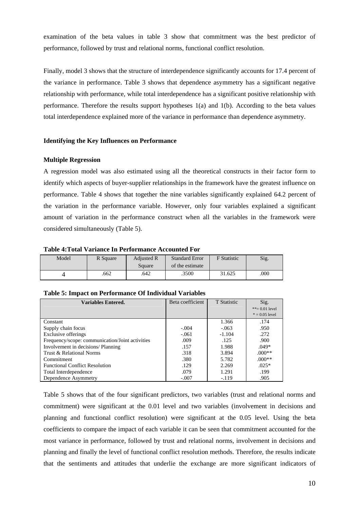examination of the beta values in table 3 show that commitment was the best predictor of performance, followed by trust and relational norms, functional conflict resolution.

Finally, model 3 shows that the structure of interdependence significantly accounts for 17.4 percent of the variance in performance. Table 3 shows that dependence asymmetry has a significant negative relationship with performance, while total interdependence has a significant positive relationship with performance. Therefore the results support hypotheses 1(a) and 1(b). According to the beta values total interdependence explained more of the variance in performance than dependence asymmetry.

#### **Identifying the Key Influences on Performance**

#### **Multiple Regression**

A regression model was also estimated using all the theoretical constructs in their factor form to identify which aspects of buyer-supplier relationships in the framework have the greatest influence on performance. Table 4 shows that together the nine variables significantly explained 64.2 percent of the variation in the performance variable. However, only four variables explained a significant amount of variation in the performance construct when all the variables in the framework were considered simultaneously (Table 5).

#### **Table 4:Total Variance In Performance Accounted For**

| Model | R Square | <b>Adjusted R</b><br>Square | <b>Standard Error</b><br>of the estimate | <b>F</b> Statistic | Sig. |
|-------|----------|-----------------------------|------------------------------------------|--------------------|------|
|       | .662     | .642                        | .3500                                    | 31.625             | .000 |

| <b>Variables Entered.</b>                       | Beta coefficient | <b>T</b> Statistic | Sig.           |
|-------------------------------------------------|------------------|--------------------|----------------|
|                                                 |                  |                    | **= 0.01 lev   |
|                                                 |                  |                    | $* = 0.05$ lev |
| Constant                                        |                  | 1.366              | .174           |
| Supply chain focus                              | $-.004$          | $-.063$            | .950           |
| Exclusive offerings                             | $-.061$          | $-1.104$           | .272           |
| Frequency/scope: communication/Joint activities | .009             | .125               | .900           |
| Involvement in decisions/ Planning              | .157             | 1.988              | $.049*$        |
| Trust & Relational Norms                        | .318             | 3.894              | $.000**$       |
| Commitment                                      | .380             | 5.782              | $000**$        |
| <b>Functional Conflict Resolution</b>           | .129             | 2.269              | $.025*$        |
| Total Interdependence                           | .079             | 1.291              | .199           |
| Dependence Asymmetry                            | $-.007$          | $-119$             | .905           |

#### **Table 5: Impact on Performance Of Individual Variables**

Table 5 shows that of the four significant predictors, two variables (trust and relational norms and commitment) were significant at the 0.01 level and two variables (involvement in decisions and planning and functional conflict resolution) were significant at the 0.05 level. Using the beta coefficients to compare the impact of each variable it can be seen that commitment accounted for the most variance in performance, followed by trust and relational norms, involvement in decisions and planning and finally the level of functional conflict resolution methods. Therefore, the results indicate that the sentiments and attitudes that underlie the exchange are more significant indicators of

vel vel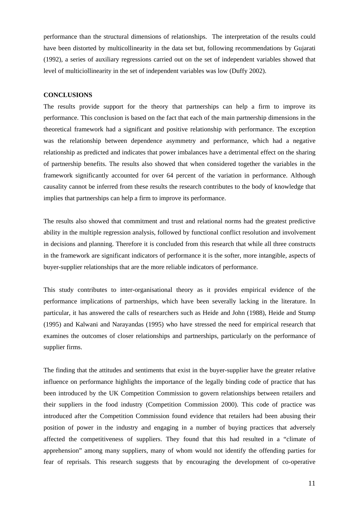performance than the structural dimensions of relationships. The interpretation of the results could have been distorted by multicollinearity in the data set but, following recommendations by Gujarati (1992), a series of auxiliary regressions carried out on the set of independent variables showed that level of multiciollinearity in the set of independent variables was low (Duffy 2002).

#### **CONCLUSIONS**

The results provide support for the theory that partnerships can help a firm to improve its performance. This conclusion is based on the fact that each of the main partnership dimensions in the theoretical framework had a significant and positive relationship with performance. The exception was the relationship between dependence asymmetry and performance, which had a negative relationship as predicted and indicates that power imbalances have a detrimental effect on the sharing of partnership benefits. The results also showed that when considered together the variables in the framework significantly accounted for over 64 percent of the variation in performance. Although causality cannot be inferred from these results the research contributes to the body of knowledge that implies that partnerships can help a firm to improve its performance.

The results also showed that commitment and trust and relational norms had the greatest predictive ability in the multiple regression analysis, followed by functional conflict resolution and involvement in decisions and planning. Therefore it is concluded from this research that while all three constructs in the framework are significant indicators of performance it is the softer, more intangible, aspects of buyer-supplier relationships that are the more reliable indicators of performance.

This study contributes to inter-organisational theory as it provides empirical evidence of the performance implications of partnerships, which have been severally lacking in the literature. In particular, it has answered the calls of researchers such as Heide and John (1988), Heide and Stump (1995) and Kalwani and Narayandas (1995) who have stressed the need for empirical research that examines the outcomes of closer relationships and partnerships, particularly on the performance of supplier firms.

The finding that the attitudes and sentiments that exist in the buyer-supplier have the greater relative influence on performance highlights the importance of the legally binding code of practice that has been introduced by the UK Competition Commission to govern relationships between retailers and their suppliers in the food industry (Competition Commission 2000). This code of practice was introduced after the Competition Commission found evidence that retailers had been abusing their position of power in the industry and engaging in a number of buying practices that adversely affected the competitiveness of suppliers. They found that this had resulted in a "climate of apprehension" among many suppliers, many of whom would not identify the offending parties for fear of reprisals. This research suggests that by encouraging the development of co-operative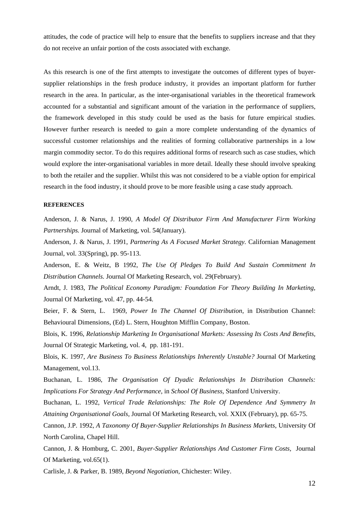attitudes, the code of practice will help to ensure that the benefits to suppliers increase and that they do not receive an unfair portion of the costs associated with exchange.

As this research is one of the first attempts to investigate the outcomes of different types of buyersupplier relationships in the fresh produce industry, it provides an important platform for further research in the area. In particular, as the inter-organisational variables in the theoretical framework accounted for a substantial and significant amount of the variation in the performance of suppliers, the framework developed in this study could be used as the basis for future empirical studies. However further research is needed to gain a more complete understanding of the dynamics of successful customer relationships and the realities of forming collaborative partnerships in a low margin commodity sector. To do this requires additional forms of research such as case studies, which would explore the inter-organisational variables in more detail. Ideally these should involve speaking to both the retailer and the supplier. Whilst this was not considered to be a viable option for empirical research in the food industry, it should prove to be more feasible using a case study approach.

#### **REFERENCES**

Anderson, J. & Narus, J. 1990, *A Model Of Distributor Firm And Manufacturer Firm Working Partnerships.* Journal of Marketing, vol. 54(January).

Anderson, J. & Narus, J. 1991, *Partnering As A Focused Market Strategy.* Californian Management Journal, vol. 33(Spring), pp. 95-113.

Anderson, E. & Weitz, B 1992, *The Use Of Pledges To Build And Sustain Commitment In Distribution Channels.* Journal Of Marketing Research, vol. 29(February).

Arndt, J. 1983, *The Political Economy Paradigm: Foundation For Theory Building In Marketing,* Journal Of Marketing, vol. 47, pp. 44-54.

Beier, F. & Stern, L. 1969, *Power In The Channel Of Distribution*, in Distribution Channel: Behavioural Dimensions, (Ed) L. Stern, Houghton Mifflin Company, Boston.

Blois, K. 1996, *Relationship Marketing In Organisational Markets: Assessing Its Costs And Benefits,* Journal Of Strategic Marketing, vol. 4, pp. 181-191.

Blois, K. 1997, *Are Business To Business Relationships Inherently Unstable?* Journal Of Marketing Management, vol.13.

Buchanan, L. 1986, *The Organisation Of Dyadic Relationships In Distribution Channels: Implications For Strategy And Performance*, in *School Of Business*, Stanford University.

Buchanan, L. 1992, *Vertical Trade Relationships: The Role Of Dependence And Symmetry In Attaining Organisational Goals,* Journal Of Marketing Research, vol. XXIX (February), pp. 65-75.

Cannon, J.P. 1992, *A Taxonomy Of Buyer-Supplier Relationships In Business Markets*, University Of North Carolina, Chapel Hill.

Cannon, J. & Homburg, C. 2001, *Buyer-Supplier Relationships And Customer Firm Costs,* Journal Of Marketing, vol.65(1).

Carlisle, J. & Parker, B. 1989, *Beyond Negotiation*, Chichester: Wiley.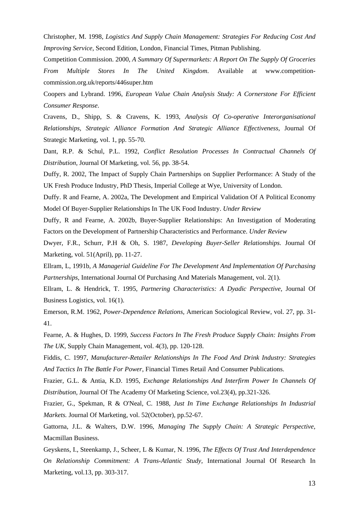Christopher, M. 1998, *Logistics And Supply Chain Management: Strategies For Reducing Cost And Improving Service*, Second Edition, London, Financial Times, Pitman Publishing.

Competition Commission. 2000, *A Summary Of Supermarkets: A Report On The Supply Of Groceries From Multiple Stores In The United Kingdom*. Available at www.competitioncommission.org.uk/reports/446super.htm

Coopers and Lybrand. 1996, *European Value Chain Analysis Study: A Cornerstone For Efficient Consumer Response*.

Cravens, D., Shipp, S. & Cravens, K. 1993, *Analysis Of Co-operative Interorganisational Relationships, Strategic Alliance Formation And Strategic Alliance Effectiveness,* Journal Of Strategic Marketing, vol. 1, pp. 55-70.

Dant, R.P. & Schul, P.L. 1992, *Conflict Resolution Processes In Contractual Channels Of Distribution,* Journal Of Marketing, vol. 56, pp. 38-54.

Duffy, R. 2002, The Impact of Supply Chain Partnerships on Supplier Performance: A Study of the UK Fresh Produce Industry, PhD Thesis, Imperial College at Wye, University of London.

Duffy. R and Fearne, A. 2002a, The Development and Empirical Validation Of A Political Economy Model Of Buyer-Supplier Relationships In The UK Food Industry. *Under Review*

Duffy, R and Fearne, A. 2002b, Buyer-Supplier Relationships: An Investigation of Moderating Factors on the Development of Partnership Characteristics and Performance. *Under Review* 

Dwyer, F.R., Schurr, P.H & Oh, S. 1987, *Developing Buyer-Seller Relationships.* Journal Of Marketing, vol. 51(April), pp. 11-27.

Ellram, L, 1991b, *A Managerial Guideline For The Development And Implementation Of Purchasing Partnerships,* International Journal Of Purchasing And Materials Management, vol. 2(1).

Ellram, L. & Hendrick, T. 1995, *Partnering Characteristics: A Dyadic Perspective,* Journal Of Business Logistics, vol. 16(1).

Emerson, R.M. 1962, *Power-Dependence Relations,* American Sociological Review, vol. 27, pp. 31- 41.

Fearne, A. & Hughes, D. 1999, *Success Factors In The Fresh Produce Supply Chain: Insights From The UK,* Supply Chain Management, vol. 4(3), pp. 120-128.

Fiddis, C. 1997, *Manufacturer-Retailer Relationships In The Food And Drink Industry: Strategies And Tactics In The Battle For Power*, Financial Times Retail And Consumer Publications.

Frazier, G.L. & Antia, K.D. 1995, *Exchange Relationships And Interfirm Power In Channels Of Distribution,* Journal Of The Academy Of Marketing Science, vol.23(4), pp.321-326.

Frazier, G., Spekman, R & O'Neal, C. 1988, *Just In Time Exchange Relationships In Industrial Markets.* Journal Of Marketing, vol. 52(October), pp.52-67.

Gattorna, J.L. & Walters, D.W. 1996, *Managing The Supply Chain: A Strategic Perspective*, Macmillan Business.

Geyskens, I., Steenkamp, J., Scheer, L & Kumar, N. 1996, *The Effects Of Trust And Interdependence On Relationship Commitment: A Trans-Atlantic Study,* International Journal Of Research In Marketing, vol.13, pp. 303-317.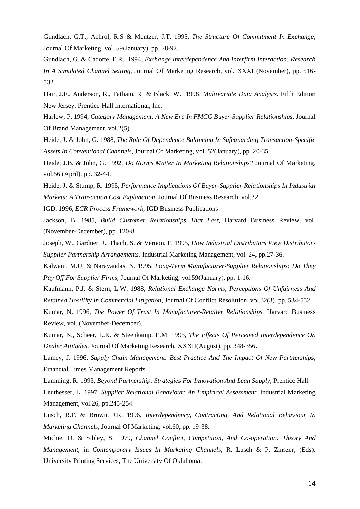Gundlach, G.T., Achrol, R.S & Mentzer, J.T. 1995, *The Structure Of Commitment In Exchange,* Journal Of Marketing, vol. 59(January), pp. 78-92.

Gundlach, G. & Cadotte, E.R. 1994, *Exchange Interdependence And Interfirm Interaction: Research In A Simulated Channel Setting,* Journal Of Marketing Research, vol. XXXI (November), pp. 516- 532.

Hair, J.F., Anderson, R., Tatham, R & Black, W. 1998, *Multivariate Data Analysis*. Fifth Edition New Jersey: Prentice-Hall International, Inc.

Harlow, P. 1994, *Category Management: A New Era In FMCG Buyer-Supplier Relationships,* Journal Of Brand Management, vol.2(5).

Heide, J. & John, G. 1988, *The Role Of Dependence Balancing In Safeguarding Transaction-Specific Assets In Conventional Channels,* Journal Of Marketing, vol. 52(January), pp. 20-35.

Heide, J.B. & John, G. 1992, *Do Norms Matter In Marketing Relationships?* Journal Of Marketing, vol.56 (April), pp. 32-44.

Heide, J. & Stump, R. 1995, *Performance Implications Of Buyer-Supplier Relationships In Industrial Markets: A Transaction Cost Explanation,* Journal Of Business Research, vol.32.

IGD. 1996, *ECR Process Framework,* IGD Business Publications

Jackson, B. 1985, *Build Customer Relationships That Last,* Harvard Business Review, vol. (November-December), pp. 120-8.

Joseph, W., Gardner, J., Thach, S. & Vernon, F. 1995, *How Industrial Distributors View Distributor-Supplier Partnership Arrangements.* Industrial Marketing Management, vol. 24, pp.27-36.

Kalwani, M.U. & Narayandas, N. 1995, *Long-Term Manufacturer-Supplier Relationships: Do They Pay Off For Supplier Firms,* Journal Of Marketing, vol.59(January), pp. 1-16.

Kaufmann, P.J. & Stern, L.W. 1988, *Relational Exchange Norms, Perceptions Of Unfairness And Retained Hostility In Commercial Litigation,* Journal Of Conflict Resolution, vol.32(3), pp. 534-552.

Kumar, N. 1996, *The Power Of Trust In Manufacturer-Retailer Relationships.* Harvard Business Review, vol. (November-December).

Kumar, N., Scheer, L.K. & Steenkamp, E.M. 1995, *The Effects Of Perceived Interdependence On Dealer Attitudes,* Journal Of Marketing Research, XXXII(August), pp. 348-356.

Lamey, J. 1996, *Supply Chain Management: Best Practice And The Impact Of New Partnerships*, Financial Times Management Reports.

Lamming, R. 1993, *Beyond Partnership: Strategies For Innovation And Lean Supply,* Prentice Hall.

Leuthesser, L. 1997, *Supplier Relational Behaviour: An Empirical Assessment.* Industrial Marketing Management, vol.26, pp.245-254.

Lusch, R.F. & Brown, J.R. 1996, *Interdependency, Contracting, And Relational Behaviour In Marketing Channels,* Journal Of Marketing, vol.60, pp. 19-38.

Michie, D. & Sibley, S. 1979, *Channel Conflict, Competition, And Co-operation: Theory And Management*, in *Contemporary Issues In Marketing Channels*, R. Lusch & P. Zinszer, (Eds). University Printing Services, The University Of Oklahoma.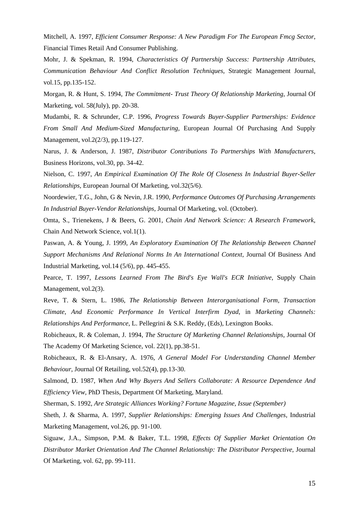Mitchell, A. 1997, *Efficient Consumer Response: A New Paradigm For The European Fmcg Sector*, Financial Times Retail And Consumer Publishing.

Mohr, J. & Spekman, R. 1994, *Characteristics Of Partnership Success: Partnership Attributes, Communication Behaviour And Conflict Resolution Techniques,* Strategic Management Journal, vol.15, pp.135-152.

Morgan, R. & Hunt, S. 1994, *The Commitment- Trust Theory Of Relationship Marketing,* Journal Of Marketing, vol. 58(July), pp. 20-38.

Mudambi, R. & Schrunder, C.P. 1996, *Progress Towards Buyer-Supplier Partnerships: Evidence From Small And Medium-Sized Manufacturing,* European Journal Of Purchasing And Supply Management, vol.2(2/3), pp.119-127.

Narus, J. & Anderson, J. 1987, *Distributor Contributions To Partnerships With Manufacturers,* Business Horizons, vol.30, pp. 34-42.

Nielson, C. 1997, *An Empirical Examination Of The Role Of Closeness In Industrial Buyer-Seller Relationships,* European Journal Of Marketing, vol.32(5/6).

Noordewier, T.G., John, G & Nevin, J.R. 1990, *Performance Outcomes Of Purchasing Arrangements In Industrial Buyer-Vendor Relationships,* Journal Of Marketing, vol. (October).

Omta, S., Trienekens, J & Beers, G. 2001, *Chain And Network Science: A Research Framework,* Chain And Network Science, vol.1(1).

Paswan, A. & Young, J. 1999, *An Exploratory Examination Of The Relationship Between Channel Support Mechanisms And Relational Norms In An International Context,* Journal Of Business And Industrial Marketing, vol.14 (5/6), pp. 445-455.

Pearce, T. 1997, *Lessons Learned From The Bird's Eye Wall's ECR Initiative,* Supply Chain Management, vol.2(3).

Reve, T. & Stern, L. 1986, *The Relationship Between Interorganisational Form, Transaction Climate, And Economic Performance In Vertical Interfirm Dyad*, in *Marketing Channels: Relationships And Performance*, L. Pellegrini & S.K. Reddy, (Eds), Lexington Books.

Robicheaux, R. & Coleman, J. 1994, *The Structure Of Marketing Channel Relationships,* Journal Of The Academy Of Marketing Science, vol. 22(1), pp.38-51.

Robicheaux, R. & El-Ansary, A. 1976, *A General Model For Understanding Channel Member Behaviour,* Journal Of Retailing, vol.52(4), pp.13-30.

Salmond, D. 1987, *When And Why Buyers And Sellers Collaborate: A Resource Dependence And Efficiency View,* PhD Thesis, Department Of Marketing*,* Maryland.

Sherman, S. 1992, *Are Strategic Alliances Working? Fortune Magazine, Issue (September)*

Sheth, J. & Sharma, A. 1997, *Supplier Relationships: Emerging Issues And Challenges,* Industrial Marketing Management, vol.26, pp. 91-100.

Siguaw, J.A., Simpson, P.M. & Baker, T.L. 1998, *Effects Of Supplier Market Orientation On Distributor Market Orientation And The Channel Relationship: The Distributor Perspective,* Journal Of Marketing, vol. 62, pp. 99-111.